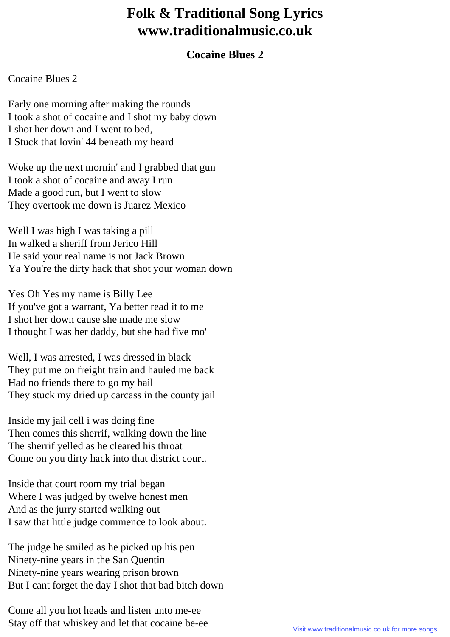## **Folk & Traditional Song Lyrics www.traditionalmusic.co.uk**

## **Cocaine Blues 2**

## Cocaine Blues 2

Early one morning after making the rounds I took a shot of cocaine and I shot my baby down I shot her down and I went to bed, I Stuck that lovin' 44 beneath my heard

Woke up the next mornin' and I grabbed that gun I took a shot of cocaine and away I run Made a good run, but I went to slow They overtook me down is Juarez Mexico

Well I was high I was taking a pill In walked a sheriff from Jerico Hill He said your real name is not Jack Brown Ya You're the dirty hack that shot your woman down

Yes Oh Yes my name is Billy Lee If you've got a warrant, Ya better read it to me I shot her down cause she made me slow I thought I was her daddy, but she had five mo'

Well, I was arrested, I was dressed in black They put me on freight train and hauled me back Had no friends there to go my bail They stuck my dried up carcass in the county jail

Inside my jail cell i was doing fine Then comes this sherrif, walking down the line The sherrif yelled as he cleared his throat Come on you dirty hack into that district court.

Inside that court room my trial began Where I was judged by twelve honest men And as the jurry started walking out I saw that little judge commence to look about.

The judge he smiled as he picked up his pen Ninety-nine years in the San Quentin Ninety-nine years wearing prison brown But I cant forget the day I shot that bad bitch down

Come all you hot heads and listen unto me-ee Stay off that whiskey and let that cocaine be-ee